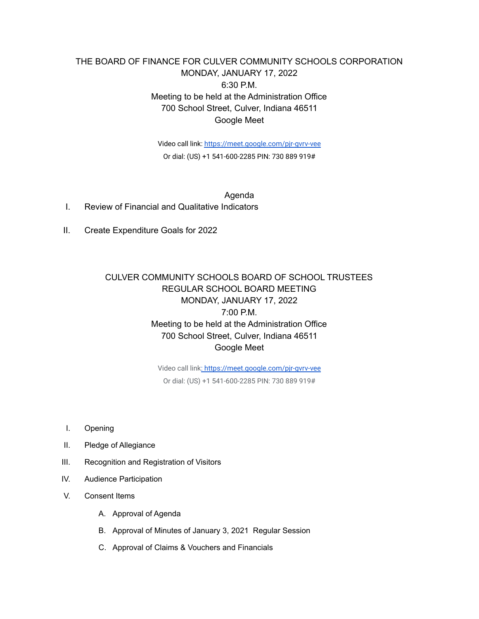## THE BOARD OF FINANCE FOR CULVER COMMUNITY SCHOOLS CORPORATION MONDAY, JANUARY 17, 2022 6:30 P.M. Meeting to be held at the Administration Office 700 School Street, Culver, Indiana 46511 Google Meet

Video call link: <https://meet.google.com/pjr-gvrv-vee> Or dial: (US) +1 541-600-2285 PIN: 730 889 919#

Agenda I. Review of Financial and Qualitative Indicators

II. Create Expenditure Goals for 2022

## CULVER COMMUNITY SCHOOLS BOARD OF SCHOOL TRUSTEES REGULAR SCHOOL BOARD MEETING MONDAY, JANUARY 17, 2022 7:00 P.M. Meeting to be held at the Administration Office 700 School Street, Culver, Indiana 46511 Google Meet

Video call link[: https://meet.google.com/pjr-gvrv-vee](https://meet.google.com/pjr-gvrv-vee) Or dial: (US) +1 541-600-2285 PIN: 730 889 919#

- I. Opening
- II. Pledge of Allegiance
- III. Recognition and Registration of Visitors
- IV. Audience Participation
- V. Consent Items
	- A. Approval of Agenda
	- B. Approval of Minutes of January 3, 2021 Regular Session
	- C. Approval of Claims & Vouchers and Financials